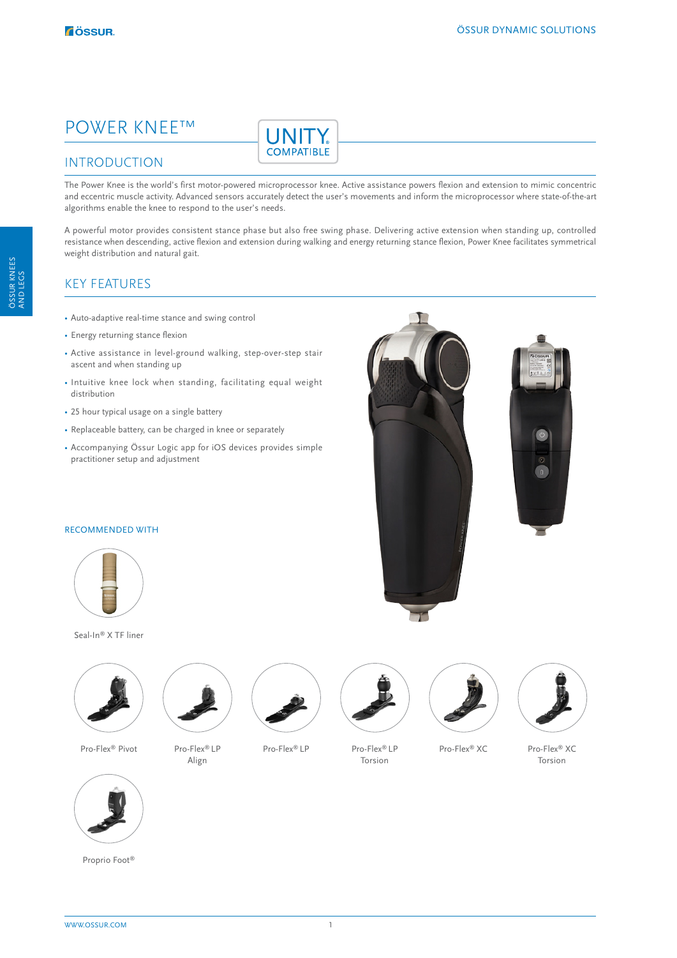# POWER KNEE™



### INTRODUCTION

The Power Knee is the world's first motor-powered microprocessor knee. Active assistance powers flexion and extension to mimic concentric and eccentric muscle activity. Advanced sensors accurately detect the user's movements and inform the microprocessor where state-of-the-art algorithms enable the knee to respond to the user's needs.

A powerful motor provides consistent stance phase but also free swing phase. Delivering active extension when standing up, controlled resistance when descending, active flexion and extension during walking and energy returning stance flexion, Power Knee facilitates symmetrical weight distribution and natural gait.

## KEY FEATURES

- Auto-adaptive real-time stance and swing control
- Energy returning stance flexion
- Active assistance in level-ground walking, step-over-step stair ascent and when standing up
- Intuitive knee lock when standing, facilitating equal weight distribution
- 25 hour typical usage on a single battery
- Replaceable battery, can be charged in knee or separately
- Accompanying Össur Logic app for iOS devices provides simple practitioner setup and adjustment





Seal-In® X TF liner



Pro-Flex® Pivot Pro-Flex® LP Align









Pro-Flex® XC Pro-Flex® XC Torsion



ÖSSUR KNEES

WWW.OSSUR.COM

Proprio Foot®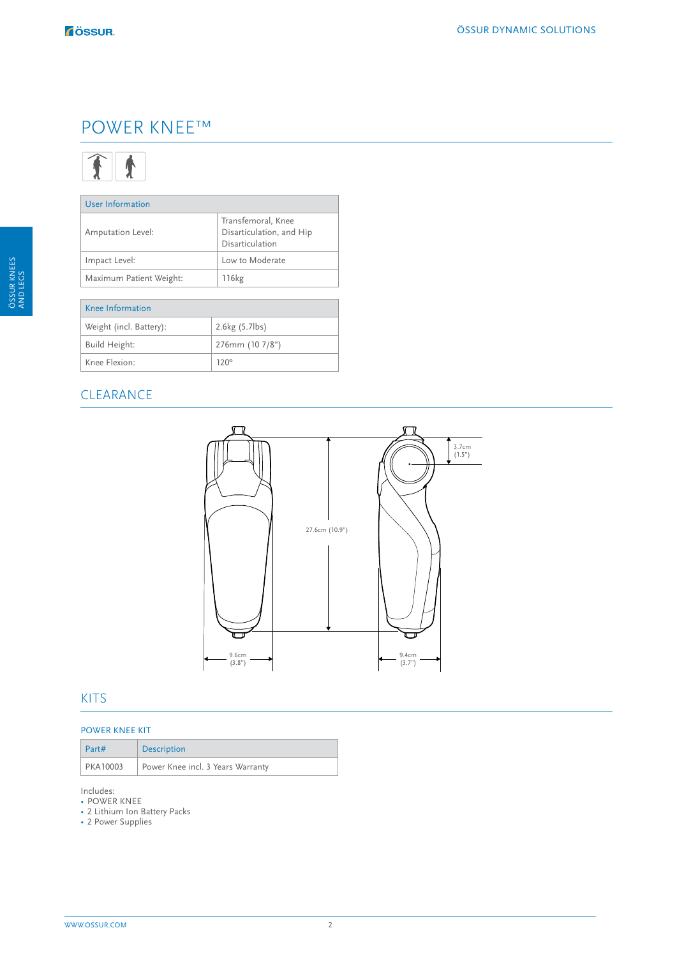# POWER KNEE™



| User Information        |                                                                   |  |  |
|-------------------------|-------------------------------------------------------------------|--|--|
| Amputation Level:       | Transfemoral, Knee<br>Disarticulation, and Hip<br>Disarticulation |  |  |
| Impact Level:           | Low to Moderate                                                   |  |  |
| Maximum Patient Weight: | 116 <sub>kg</sub>                                                 |  |  |
|                         |                                                                   |  |  |
| Knee Information        |                                                                   |  |  |
| Weight (incl. Battery): | 2.6kg (5.7lbs)                                                    |  |  |
| Build Height:           | 276mm (10 7/8")                                                   |  |  |
| Knee Flexion:           | $120^\circ$                                                       |  |  |

## CLEARANCE



### KITS

#### POWER KNEE KIT

| Part#    | <b>Description</b>                |
|----------|-----------------------------------|
| PKA10003 | Power Knee incl. 3 Years Warranty |

Includes:

- POWER KNEE
- 2 Lithium Ion Battery Packs
- 2 Power Supplies